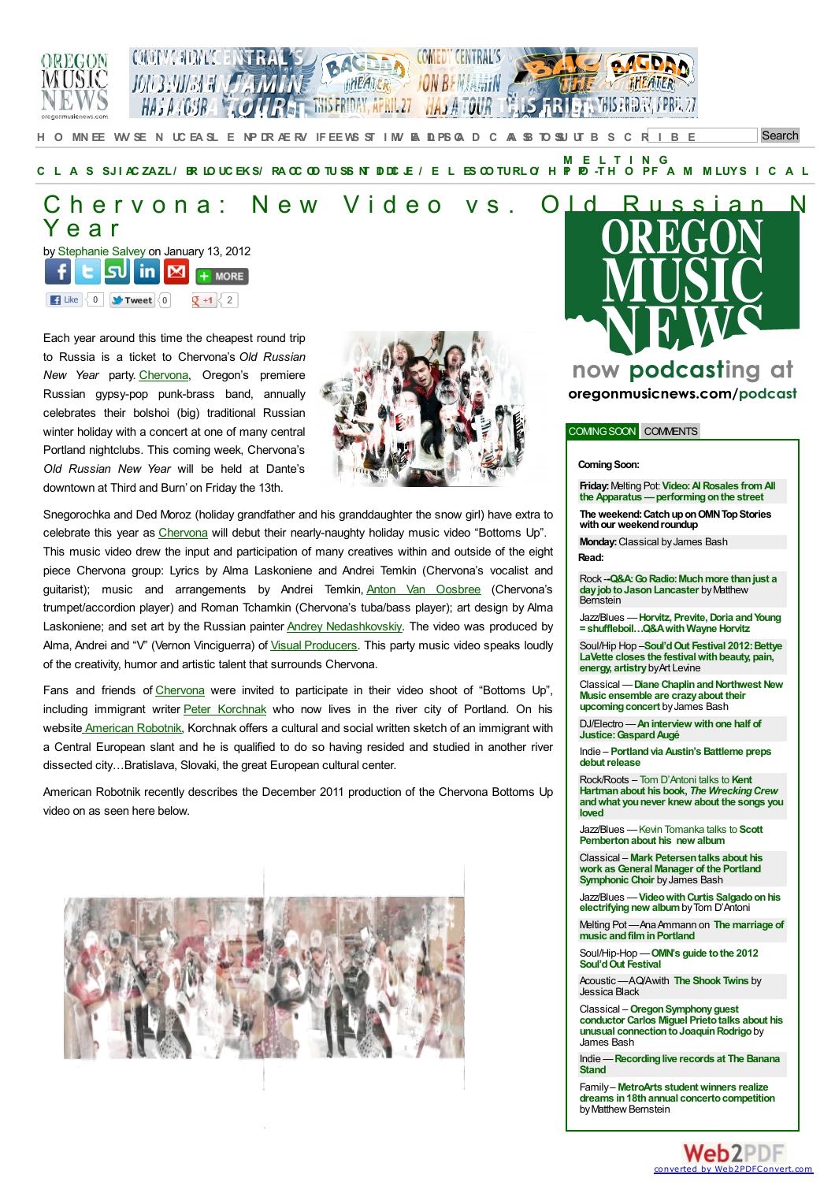



**Search** H[O](http://oregonmusicnews.com) MN[EE](http://oregonmusicnews.com/news/) WY[SE](http://oregonmusicnews.com/venues/) N UC [EA](http://oregonmusicnews.com/calendar/)SL E NP[DR](http://oregonmusicnews.com/previews/)AE RV IFEE WS STIMY PA DIPIS Q D C AA [SB](http://oregonmusicnews.com/about/) TO SU UT B S C R I B E

M ELTING<br>[C](http://oregonmusicnews.com/classical/)LASSJIAC[ZAZL](http://oregonmusicnews.com/jazzblues/)/BRLO[UC](http://oregonmusicnews.com/rockroots/)EKS/RACCOOTUSS[NT](http://oregonmusicnews.com/indie/)DDCE/ELESCO[TURL](http://oregonmusicnews.com/soulhip-hop/)O/HPID-THOPFA[M](http://oregonmusicnews.com/family/)M[LUY](http://oregonmusicnews.com/musical/)SICAL

## Chervona: [N](#page-1-0)ew Video vs. Old Russian N Y e a r by [Stephanie](http://oregonmusicnews.com/author/ssalvey/) [Salv](http://www.stumbleupon.com/submit?url=http%3A%2F%2Foregonmusicnews.com%2F2012%2F01%2F13%2Fchervona-new-video-vs-old-russian-new-year%2F&title=Chervona%3A New Video vs. Old Russian New Year)[ey](http://www.linkedin.com/shareArticle?mini=true&url=http%3A%2F%2Foregonmusicnews.com%2F2012%2F01%2F13%2Fchervona-new-video-vs-old-russian-new-year%2F&title=Chervona%3A New Video vs. Old Russian New Year&source=Oregon+Music+News+Oregon%26%23039%3Bs+only+all-genre%2C+online+music+magazine&summary=Each year around this time the cheapest round trip to Russia is a ticket to Chervona%27s Old Russian New Year party. Chervona%2C Oregon%27s premiere Russian gypsy-pop punk-brass band%2C celebrates their bolshoi %28big%29 traditional Russian winter holiday at Dante%27s downtown at Third and Burn%27 on Friday the 13th) on [Janu](https://mail.google.com/mail/?view=cm&fs=1&to&su=Chervona%3A New Video vs. Old Russian New Year&body=http%3A%2F%2Foregonmusicnews.com%2F2012%2F01%2F13%2Fchervona-new-video-vs-old-russian-new-year%2F&ui=2&tf=1&shva=1)ary 13, 2012



Each year around this time the cheapest round trip to Russia is a ticket to Chervona's *Old Russian New Year* party. [Chervona](http://www.myspace.com/chervona), Oregon's premiere Russian gypsy-pop punk-brass band, annually celebrates their bolshoi (big) traditional Russian winter holiday with a concert at one of many central Portland nightclubs. This coming week, Chervona's *Old Russian New Year* will be held at Dante's downtown at Third and Burn' on Friday the 13th.



Snegorochka and Ded Moroz (holiday grandfather and his granddaughter the snow girl) have extra to celebrate this year as [Chervona](http://oregonmusicnews.com/2011/01/13/chervona-kicks-in-old-russian-new-year/) will debut their nearly-naughty holiday music video "Bottoms Up". This music video drew the input and participation of many creatives within and outside of the eight piece Chervona group: Lyrics by Alma Laskoniene and Andrei Temkin (Chervona's vocalist and guitarist); music and arrangements by Andrei Temkin, Anton Van [Oosbree](http://www.myspace.com/antonvo) (Chervona's trumpet/accordion player) and Roman Tchamkin (Chervona's tuba/bass player); art design by Alma Laskoniene; and set art by the Russian painter Andrey [Nedashkovskiy](http://artscenetoday.com/juried-exhibitions/cityscapes/andrey-nedashkovskiy/). The video was produced by Alma, Andrei and "V" (Vernon Vinciguerra) of Visual [Producers](http://visualproducers.com/). This party music video speaks loudly of the creativity, humor and artistic talent that surrounds Chervona.

Fans and friends of [Chervona](http://www.starbugs.com/chervona/) were invited to participate in their video shoot of "Bottoms Up", including immigrant writer Peter [Korchnak](http://americanrobotnik.com/about/) who now lives in the river city of Portland. On his w[e](http://americanrobotnik.com/about/)bsite [American](http://americanrobotnik.com/) Robotnik, Korchnak offers a cultural and social written sketch of an immigrant with a Central European slant and he is qualified to do so having resided and studied in another river dissected city…Bratislava, Slovaki, the great European cultural center.

American Robotnik recently describes the December 2011 production of the Chervona Bottoms Up video on as seen here below.





oregonmusicnews.com/podcast

#### COMINGSOON COMMENTS

#### **Coming Soon:**

**Friday:** Melting Pot: **Video: Al Rosales from All the Apparatus —performingonthe street**

The weekend: Catch up on OMN Top Stories **withour weekendroundup**

**Monday:**Classical byJames Bash **Read:**

Rock -**[-Q&A:GoRadio:Muchmore](http://oregonmusicnews.com/2012/04/26/go-radio-much-more-than-just-a-day-job-to-jason-lancaster/) thanjust a** day job to Jason Lancaster by Matthew **Bernstein** 

Jazz/Blues —**Horvitz, Previte,Doria andYoung = [shuffleboil…Q&AwithWayne](http://oregonmusicnews.com/2012/04/25/qa-wayne-hortivz-bobby-previte-tim-young-and-joe-doria-shuffleboil-a-new-quartet/) Horvitz**

Soul/Hip Hop -**Soul'd Out Festival 2012: Bettye LaVette closes the festival with beauty, pain, energy, artistry**byArt Levine

Classical —**Diane [ChaplinandNorthwest](http://oregonmusicnews.com/2012/04/23/diane-chaplin-and-northwest-new-music-ensemble-are-crazy-about-their-upcoming-concert/) New Music ensemble are crazyabout their upcoming concert** by James Bash

DJ/Electro —**Aninterview withone half of [Justice:GaspardAugé](http://oregonmusicnews.com/2012/04/20/seeking-justice-qa-with-gaspard-auge/)**

Indie – **Portlandvia Austin's Battleme preps [debutrelease](http://oregonmusicnews.com/?p=1000016678&preview=true)**

Rock/Roots – Tom D'Antoni talks to **Kent Hartman about his book, The Wrecking Crew andwhat younever knew about the songs you loved**

Jazz/Blues —Kevin Tomanka talks to **Scott [Pembertonabout](http://oregonmusicnews.com/2012/04/17/qa-scott-pemberton-talks-about-touring-in-the-nw-and-his-new-album-sugar-mama/) his new album**

Classical – **Mark [Petersentalks](http://oregonmusicnews.com/2012/04/16/mark-petersen-talks-about-his-work-as-general-manager-of-the-portland-symphonic-choir/) about his work asGeneral Manager of the Portland Symphonic Choir** byJames Bash

Jazz/Blues —**[VideowithCurtis](http://oregonmusicnews.com/2012/04/13/video-curtis-salgado-on-his-sensational-new-album-soul-shot/) Salgadoonhis electrifying new album** by Tom D'Antoni

Melting Pot — Ana Ammann on **The marriage of music and film in Portland** 

[Soul/Hip-Hop](http://oregonmusicnews.com/2012/04/11/your-guide-to-the-2012-sould-out-music-festival/#http://oregonmusicnews.com/wp-content/uploads/2012/02/Liv_Warfield_Experience__Alberta_Rose_Theatre__2012_2_4_-_30_of_30.jpg) —**OMN's guide tothe 2012 Soul'dOut Festival**

Acoustic —AQ/Awith **The [Shook](http://oregonmusicnews.com/2012/04/10/the-shook-twins-plus-one-a-qa-with-katelyn-shook/) Twins** by Jessica Black

Classical –**OregonSymphonyguest conductor Carlos Miguel Prietotalks about his unusual connection to Joaquín Rodrigo** by James Bash

Indie —**[Recordinglive](http://oregonmusicnews.com/2012/04/06/live-from-the-banana-stand-a-qa-with-stand-founders-on-documenting-portlands-live-sound/) records at The Banana Stand**

Family– **MetroArts studentwinners realize dreams in18thannual [concertocompetition](http://oregonmusicnews.com/2012/03/30/metroarts-student-winners-realize-dreams-in-18th-annual-concerto-competition/)** by Matthew Bernstein

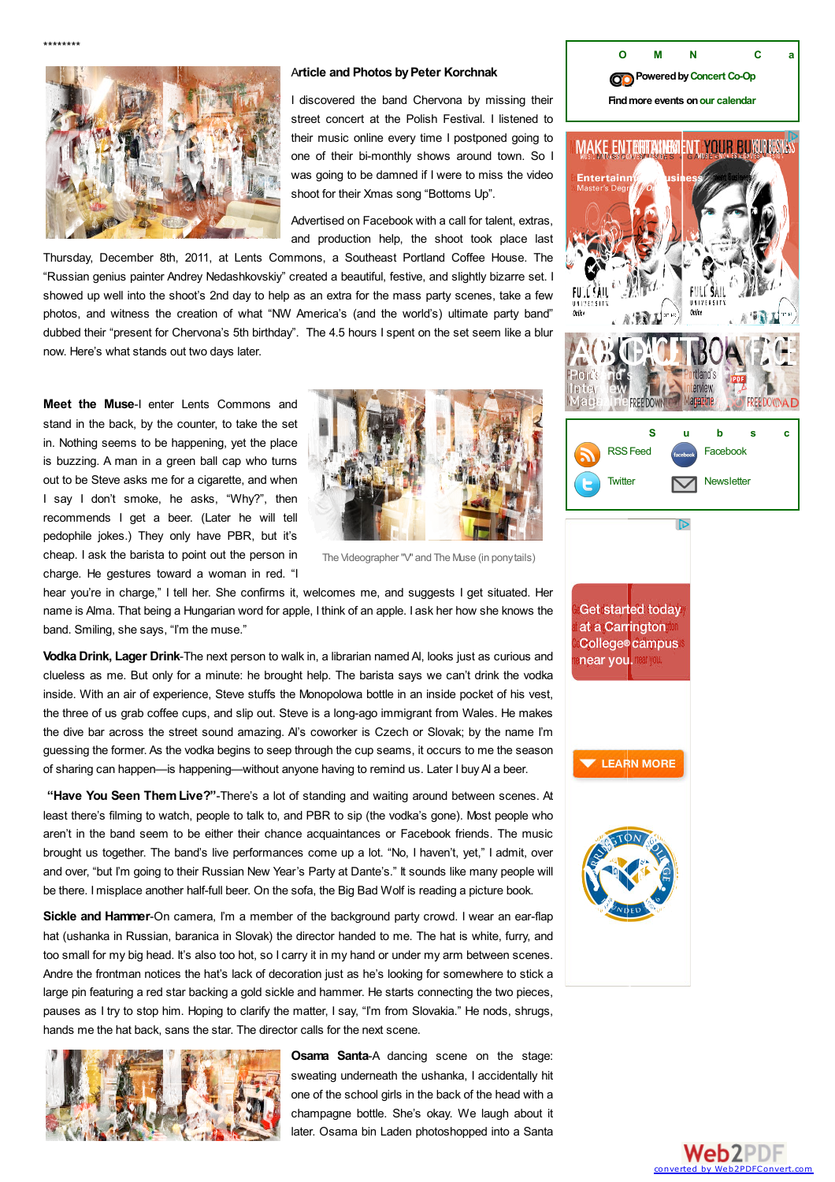<span id="page-1-0"></span>



#### A**rticle and Photos byPeter Korchnak**

I discovered the band Chervona by missing their street concert at the Polish Festival. I listened to their music online every time I postponed going to one of their bi-monthly shows around town. So I was going to be damned if I were to miss the video shoot for their Xmas song "Bottoms Up".

Advertised on Facebook with a call for talent, extras, and production help, the shoot took place last

Thursday, December 8th, 2011, at Lents Commons, a Southeast Portland Coffee House. The "Russian genius painter Andrey Nedashkovskiy" created a beautiful, festive, and slightly bizarre set. I showed up well into the shoot's 2nd day to help as an extra for the mass party scenes, take a few photos, and witness the creation of what "NW America's (and the world's) ultimate party band" dubbed their "present for Chervona's 5th birthday". The 4.5 hours I spent on the set seem like a blur now. Here's what stands out two days later.

**Meet the Muse**-I enter Lents Commons and stand in the back, by the counter, to take the set in. Nothing seems to be happening, yet the place is buzzing. A man in a green ball cap who turns out to be Steve asks me for a cigarette, and when I say I don't smoke, he asks, "Why?", then recommends I get a beer. (Later he will tell pedophile jokes.) They only have PBR, but it's cheap. I ask the barista to point out the person in charge. He gestures toward a woman in red. "I



The Videographer "V" and The Muse (in ponytails)

hear you're in charge," I tell her. She confirms it, welcomes me, and suggests I get situated. Her name is Alma. That being a Hungarian word for apple, I think of an apple. I ask her how she knows the band. Smiling, she says, "I'm the muse."

**Vodka Drink, Lager Drink**-The next person to walk in, a librarian named Al, looks just as curious and clueless as me. But only for a minute: he brought help. The barista says we can't drink the vodka inside. With an air of experience, Steve stuffs the Monopolowa bottle in an inside pocket of his vest, the three of us grab coffee cups, and slip out. Steve is a long-ago immigrant from Wales. He makes the dive bar across the street sound amazing. Al's coworker is Czech or Slovak; by the name I'm guessing the former. As the vodka begins to seep through the cup seams, it occurs to me the season of sharing can happen—is happening—without anyone having to remind us. Later I buyAl a beer.

**"Have You Seen ThemLive?"**-There's a lot of standing and waiting around between scenes. At least there's filming to watch, people to talk to, and PBR to sip (the vodka's gone). Most people who aren't in the band seem to be either their chance acquaintances or Facebook friends. The music brought us together. The band's live performances come up a lot. "No, I haven't, yet," I admit, over and over, "but I'm going to their Russian New Year's Party at Dante's." It sounds like many people will be there. I misplace another half-full beer. On the sofa, the Big Bad Wolf is reading a picture book.

**Sickle and Hammer**-On camera, I'm a member of the background party crowd. I wear an ear-flap hat (ushanka in Russian, baranica in Slovak) the director handed to me. The hat is white, furry, and too small for my big head. It's also too hot, so I carry it in my hand or under my arm between scenes. Andre the frontman notices the hat's lack of decoration just as he's looking for somewhere to stick a large pin featuring a red star backing a gold sickle and hammer. He starts connecting the two pieces, pauses as I try to stop him. Hoping to clarify the matter, I say, "I'm from Slovakia." He nods, shrugs, hands me the hat back, sans the star. The director calls for the next scene.



**Osama Santa**-A dancing scene on the stage: sweating underneath the ushanka, I accidentally hit one of the school girls in the back of the head with a champagne bottle. She's okay. We laugh about it later. Osama bin Laden photoshopped into a Santa



**Poweredby[Concert](http://portland.concertcoop.com/) Co-Op Findmore events onour [calendar](http://oregonmusicnews.com/calendar/)**

**O [M](http://oregonmusicnews.com/calendar/) N C a** 

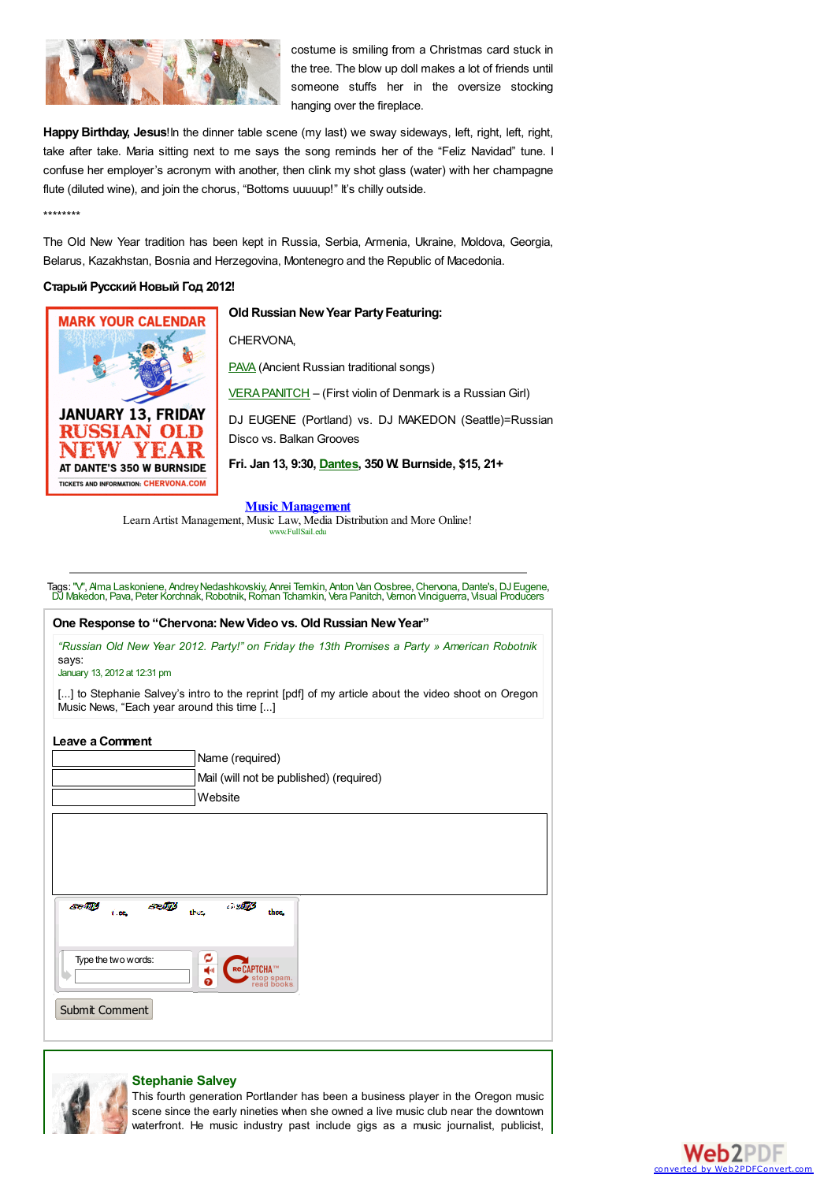

costume is smiling from a Christmas card stuck in the tree. The blow up doll makes a lot of friends until someone stuffs her in the oversize stocking hanging over the fireplace.

**Happy Birthday, Jesus**!In the dinner table scene (my last) we sway sideways, left, right, left, right, take after take. Maria sitting next to me says the song reminds her of the "Feliz Navidad" tune. I confuse her employer's acronym with another, then clink my shot glass (water) with her champagne flute (diluted wine), and join the chorus, "Bottoms uuuuup!" It's chilly outside.

\*\*\*\*\*\*\*\*

The Old New Year tradition has been kept in Russia, Serbia, Armenia, Ukraine, Moldova, Georgia, Belarus, Kazakhstan, Bosnia and Herzegovina, Montenegro and the Republic of Macedonia.

### **Старый Русский Новый Год 2012!**



**Old Russian NewYear PartyFeaturing:**

CHERVONA,

**[PAVA](http://www.ethnorussia.com/)** (Ancient Russian traditional songs)

[VERAPANITCH](http://www.youtube.com/watch?v=FlHEPnbggYk) – (First violin of Denmark is a Russian Girl)

DJ EUGENE (Portland) vs. DJ MAKEDON (Seattle)=Russian Disco vs. Balkan Grooves

**Fri. Jan 13, 9:30, [Dantes](http://oregonmusicnews.com/venues/dantes), 350 W. Burnside, \$15, 21+**

**Music Management**

Learn Artist Management, Music Law, Media Distribution and More Online! www.FullSail.edu

Tags: ["V"](http://oregonmusicnews.com/tag/v/), Alma [Laskoniene](http://oregonmusicnews.com/tag/alma-laskoniene/), Andrey Nedashkovskiy, Anrei [Temkin](http://oregonmusicnews.com/tag/anrei-temkin/), Anton Van Oosbree, [Chervona](http://oregonmusicnews.com/tag/chervona/), [Dante's](http://oregonmusicnews.com/tag/dantes/), DJ [Eugene](http://oregonmusicnews.com/tag/dj-eugene/),<br>DJ [Makedon](http://oregonmusicnews.com/tag/dj-makedon/), [Pava](http://oregonmusicnews.com/tag/pava/), Peter [Korchnak](http://oregonmusicnews.com/tag/peter-korchnak/), [Robotnik](http://oregonmusicnews.com/tag/robotnik/), Roman [Tchamkin](http://oregonmusicnews.com/tag/roman-tchamkin/), Vera [Panitch](http://oregonmusicnews.com/tag/vera-panitch/), Vernon [Vinciguerra](http://oregonmusicnews.com/tag/vernon-vinciguerra/), Visual Producer

# <span id="page-2-0"></span>**One Response to "Chervona:NewVideo vs. Old Russian NewYear"** *"Russian Old New Year 2012. Party!" on Friday the 13th Promises a Party » [American](http://americanrobotnik.com/2012/01/russian-old-new-year-2012/) Robotnik* says: [January](#page-2-0) 13, 2012 at 12:31 pm [...] to Stephanie Salvey's intro to the reprint [pdf] of my article about the video shoot on Oregon Music News, "Each year around this time [...] **Leave a Comment** Name (required) Mail (will not be published) (required) Website Type the twowords: Ã. PTCHA Submit Comment



### **Stephanie Salvey**

This fourth generation Portlander has been a business player in the Oregon music scene since the early nineties when she owned a live music club near the downtown waterfront. He music industry past include gigs as a music journalist, publicist,